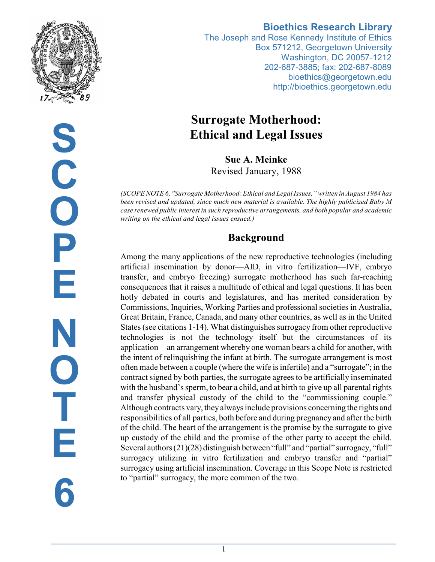

**S C O P E N O T E 6**

#### **Bioethics Research Library**

The Joseph and Rose Kennedy Institute of Ethics Box 571212, Georgetown University Washington, DC 20057-1212 202-687-3885; fax: 202-687-8089 bioethics@georgetown.edu http://bioethics.georgetown.edu

# **Surrogate Motherhood: Ethical and Legal Issues**

**Sue A. Meinke** Revised January, 1988

*(SCOPE NOTE 6, "Surrogate Motherhood: Ethical and Legal Issues," written in August 1984 has been revised and updated, since much new material is available. The highly publicized Baby M case renewed public interest in such reproductive arrangements, and both popular and academic writing on the ethical and legal issues ensued.)*

## **Background**

Among the many applications of the new reproductive technologies (including artificial insemination by donor—AID, in vitro fertilization—IVF, embryo transfer, and embryo freezing) surrogate motherhood has such far-reaching consequences that it raises a multitude of ethical and legal questions. It has been hotly debated in courts and legislatures, and has merited consideration by Commissions, Inquiries, Working Parties and professional societies in Australia, Great Britain, France, Canada, and many other countries, as well as in the United States (see citations 1-14). What distinguishes surrogacy from other reproductive technologies is not the technology itself but the circumstances of its application—an arrangement whereby one woman bears a child for another, with the intent of relinquishing the infant at birth. The surrogate arrangement is most often made between a couple (where the wife is infertile) and a "surrogate"; in the contract signed by both parties, the surrogate agrees to be artificially inseminated with the husband's sperm, to bear a child, and at birth to give up all parental rights and transfer physical custody of the child to the "commissioning couple." Although contracts vary, they always include provisions concerning the rights and responsibilities of all parties, both before and during pregnancy and after the birth of the child. The heart of the arrangement is the promise by the surrogate to give up custody of the child and the promise of the other party to accept the child. Several authors (21)(28) distinguish between "full" and "partial" surrogacy, "full" surrogacy utilizing in vitro fertilization and embryo transfer and "partial" surrogacy using artificial insemination. Coverage in this Scope Note is restricted to "partial" surrogacy, the more common of the two.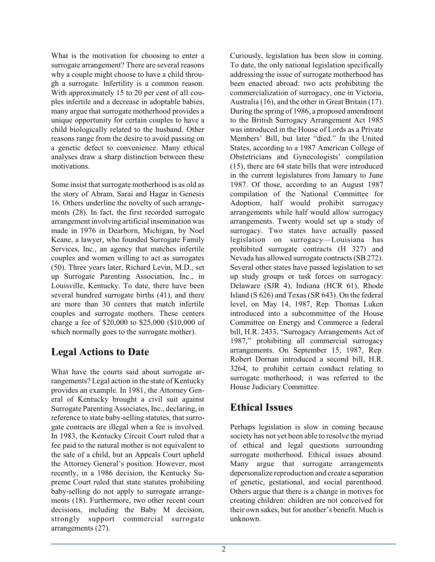What is the motivation for choosing to enter a surrogate arrangement? There are several reasons why a couple might choose to have a child through a surrogate. Infertility is a common reason. With approximately 15 to 20 per cent of all couples infertile and a decrease in adoptable babies, many argue that surrogate motherhood provides a unique opportunity for certain couples to have a child biologically related to the husband. Other reasons range from the desire to avoid passing on a genetic defect to convenience. Many ethical analyses draw a sharp distinction between these motivations.

Some insist that surrogate motherhood is as old as the story of Abram, Sarai and Hagar in Genesis 16. Others underline the novelty of such arrangements (28). In fact, the first recorded surrogate arrangement involving artificial insemination was made in 1976 in Dearborn, Michigan, by Noel Keane, a lawyer, who founded Surrogate Family Services, Inc., an agency that matches infertile couples and women willing to act as surrogates (50). Three years later, Richard Levin, M.D., set up Surrogate Parenting Association, Inc., in Louisville, Kentucky. To date, there have been several hundred surrogate births (41), and there are more than 30 centers that match infertile couples and surrogate mothers. These centers charge a fee of \$20,000 to \$25,000 (\$10,000 of which normally goes to the surrogate mother).

### **Legal Actions to Date**

What have the courts said about surrogate arrangements? Legal action in the state of Kentucky provides an example. In 1981, the Attorney General of Kentucky brought a civil suit against Surrogate Parenting Associates, Inc., declaring, in reference to state baby-selling statutes, that surrogate contracts are illegal when a fee is involved. In 1983, the Kentucky Circuit Court ruled that a fee paid to the natural mother is not equivalent to the sale of a child, but an Appeals Court upheld the Attorney General's position. However, most recently, in a 1986 decision, the Kentucky Supreme Court ruled that state statutes prohibiting baby-selling do not apply to surrogate arrangements (18). Furthermore, two other recent court decisions, including the Baby M decision, strongly support commercial surrogate arrangements (27).

Curiously, legislation has been slow in coming. To date, the only national legislation specifically addressing the issue of surrogate motherhood has been enacted abroad: two acts prohibiting the commercialization of surrogacy, one in Victoria, Australia (16), and the other in Great Britain (17). During the spring of 1986, a proposed amendment to the British Surrogacy Arrangement Act 1985 was introduced in the House of Lords as a Private Members' Bill, but later "died." In the United States, according to a 1987 American College of Obstetricians and Gynecologists' compilation (15), there are 64 state bills that were introduced in the current legislatures from January to June 1987. Of those, according to an August 1987 compilation of the National Committee for Adoption, half would prohibit surrogacy arrangements while half would allow surrogacy arrangements. Twenty would set up a study of surrogacy. Two states have actually passed legislation on surrogacy—Louisiana has prohibited surrogate contracts (H 327) and Nevada has allowed surrogate contracts (SB 272). Several other states have passed legislation to set up study groups or task forces on surrogacy: Delaware (SJR 4), Indiana (HCR 61), Rhode Island (S 626) and Texas (SR 643). On the federal level, on May 14, 1987, Rep. Thomas Luken introduced into a subcommittee of the House Committee on Energy and Commerce a federal bill, H.R. 2433, "Surrogacy Arrangements Act of 1987," prohibiting all commercial surrogacy arrangements. On September 15, 1987, Rep. Robert Dornan introduced a second bill, H.R. 3264, to prohibit certain conduct relating to surrogate motherhood; it was referred to the House Judiciary Committee.

## **Ethical Issues**

Perhaps legislation is slow in coming because society has not yet been able to resolve the myriad of ethical and legal questions surrounding surrogate motherhood. Ethical issues abound. Many argue that surrogate arrangements depersonalize reproduction and create a separation of genetic, gestational, and social parenthood. Others argue that there is a change in motives for creating children: children are not conceived for their own sakes, but for another's benefit. Much is unknown.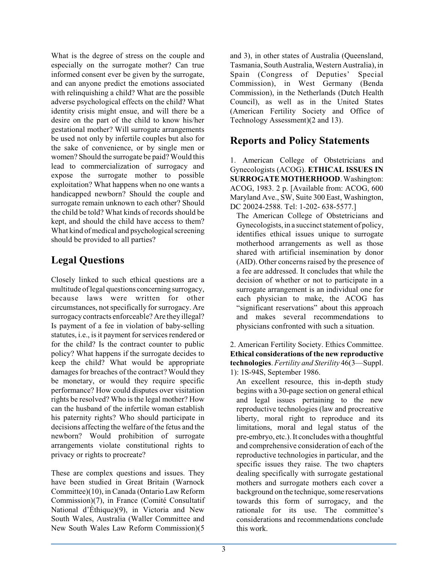What is the degree of stress on the couple and especially on the surrogate mother? Can true informed consent ever be given by the surrogate, and can anyone predict the emotions associated with relinquishing a child? What are the possible adverse psychological effects on the child? What identity crisis might ensue, and will there be a desire on the part of the child to know his/her gestational mother? Will surrogate arrangements be used not only by infertile couples but also for the sake of convenience, or by single men or women? Should the surrogate be paid? Would this lead to commercialization of surrogacy and expose the surrogate mother to possible exploitation? What happens when no one wants a handicapped newborn? Should the couple and surrogate remain unknown to each other? Should the child be told? What kinds of records should be kept, and should the child have access to them? What kind of medical and psychological screening should be provided to all parties?

## **Legal Questions**

Closely linked to such ethical questions are a multitude oflegal questions concerningsurrogacy, because laws were written for other circumstances, not specifically for surrogacy. Are surrogacy contracts enforceable? Are they illegal? Is payment of a fee in violation of baby-selling statutes, i.e., is it payment for services rendered or for the child? Is the contract counter to public policy? What happens if the surrogate decides to keep the child? What would be appropriate damages for breaches of the contract? Would they be monetary, or would they require specific performance? How could disputes over visitation rights be resolved? Who is the legal mother? How can the husband of the infertile woman establish his paternity rights? Who should participate in decisions affecting the welfare of the fetus and the newborn? Would prohibition of surrogate arrangements violate constitutional rights to privacy or rights to procreate?

These are complex questions and issues. They have been studied in Great Britain (Warnock Committee)(10), in Canada (Ontario Law Reform Commission)(7), in France (Comité Consultatif National d'Éthique)(9), in Victoria and New South Wales, Australia (Waller Committee and New South Wales Law Reform Commission)(5

and 3), in other states of Australia (Queensland, Tasmania, South Australia, Western Australia), in Spain (Congress of Deputies' Special Commission), in West Germany (Benda Commission), in the Netherlands (Dutch Health Council), as well as in the United States (American Fertility Society and Office of Technology Assessment)(2 and 13).

## **Reports and Policy Statements**

1. American College of Obstetricians and Gynecologists (ACOG). **ETHICAL ISSUES IN SURROGATE MOTHERHOOD**. Washington: ACOG, 1983. 2 p. [Available from: ACOG, 600 Maryland Ave., SW, Suite 300 East, Washington, DC 20024-2588. Tel: 1-202- 638-5577.]

The American College of Obstetricians and Gynecologists, in a succinct statement of policy, identifies ethical issues unique to surrogate motherhood arrangements as well as those shared with artificial insemination by donor (AID). Other concerns raised by the presence of a fee are addressed. It concludes that while the decision of whether or not to participate in a surrogate arrangement is an individual one for each physician to make, the ACOG has "significant reservations" about this approach and makes several recommendations to physicians confronted with such a situation.

2. American Fertility Society. Ethics Committee. **Ethical considerations of the new reproductive technologies**. *Fertility and Sterility* 46(3—Suppl. 1): 1S-94S, September 1986.

An excellent resource, this in-depth study begins with a 30-page section on general ethical and legal issues pertaining to the new reproductive technologies (law and procreative liberty, moral right to reproduce and its limitations, moral and legal status of the pre-embryo, etc.). It concludes with a thoughtful and comprehensive consideration of each of the reproductive technologies in particular, and the specific issues they raise. The two chapters dealing specifically with surrogate gestational mothers and surrogate mothers each cover a background on the technique, some reservations towards this form of surrogacy, and the rationale for its use. The committee's considerations and recommendations conclude this work.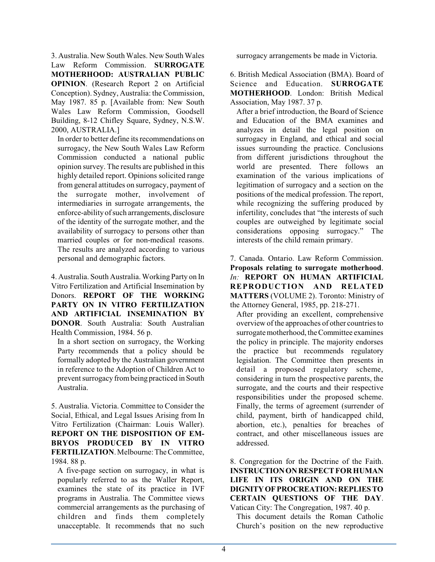3. Australia. New South Wales. New South Wales Law Reform Commission. **SURROGATE MOTHERHOOD: AUSTRALIAN PUBLIC OPINION**. (Research Report 2 on Artificial Conception). Sydney, Australia: the Commission, May 1987. 85 p. [Available from: New South Wales Law Reform Commission, Goodsell Building, 8-12 Chifley Square, Sydney, N.S.W. 2000, AUSTRALIA.]

In order to better define its recommendations on surrogacy, the New South Wales Law Reform Commission conducted a national public opinion survey. The results are published in this highly detailed report. Opinions solicited range from general attitudes on surrogacy, payment of the surrogate mother, involvement of intermediaries in surrogate arrangements, the enforce-ability of such arrangements, disclosure of the identity of the surrogate mother, and the availability of surrogacy to persons other than married couples or for non-medical reasons. The results are analyzed according to various personal and demographic factors.

4. Australia. South Australia. Working Party on In Vitro Fertilization and Artificial Insemination by Donors. **REPORT OF THE WORKING PARTY ON IN VITRO FERTILIZATION AND ARTIFICIAL INSEMINATION BY DONOR**. South Australia: South Australian Health Commission, 1984. 56 p.

In a short section on surrogacy, the Working Party recommends that a policy should be formally adopted by the Australian government in reference to the Adoption of Children Act to prevent surrogacy from being practiced in South Australia.

5. Australia. Victoria. Committee to Consider the Social, Ethical, and Legal Issues Arising from In Vitro Fertilization (Chairman: Louis Waller). **REPORT ON THE DISPOSITION OF EM-BRYOS PRODUCED BY IN VITRO FERTILIZATION**. Melbourne:The Committee, 1984. 88 p.

A five-page section on surrogacy, in what is popularly referred to as the Waller Report, examines the state of its practice in IVF programs in Australia. The Committee views commercial arrangements as the purchasing of children and finds them completely unacceptable. It recommends that no such

surrogacy arrangements be made in Victoria.

6. British Medical Association (BMA). Board of Science and Education. **SURROGATE MOTHERHOOD**. London: British Medical Association, May 1987. 37 p.

After a brief introduction, the Board of Science and Education of the BMA examines and analyzes in detail the legal position on surrogacy in England, and ethical and social issues surrounding the practice. Conclusions from different jurisdictions throughout the world are presented. There follows an examination of the various implications of legitimation of surrogacy and a section on the positions of the medical profession. The report, while recognizing the suffering produced by infertility, concludes that "the interests of such couples are outweighed by legitimate social considerations opposing surrogacy." The interests of the child remain primary.

7. Canada. Ontario. Law Reform Commission. **Proposals relating to surrogate motherhood**. *In:* **REPORT ON HUMAN ARTIFICIAL REPRODUCTION AND RELATED MATTERS** (VOLUME 2). Toronto: Ministry of the Attorney General, 1985, pp. 218-271.

After providing an excellent, comprehensive overview of the approaches of other countries to surrogate motherhood, the Committee examines the policy in principle. The majority endorses the practice but recommends regulatory legislation. The Committee then presents in detail a proposed regulatory scheme, considering in turn the prospective parents, the surrogate, and the courts and their respective responsibilities under the proposed scheme. Finally, the terms of agreement (surrender of child, payment, birth of handicapped child, abortion, etc.), penalties for breaches of contract, and other miscellaneous issues are addressed.

8. Congregation for the Doctrine of the Faith. **INSTRUCTIONONRESPECT FOR HUMAN LIFE IN ITS ORIGIN AND ON THE DIGNITYOF PROCREATION:REPLIESTO CERTAIN QUESTIONS OF THE DAY**. Vatican City: The Congregation, 1987. 40 p.

This document details the Roman Catholic Church's position on the new reproductive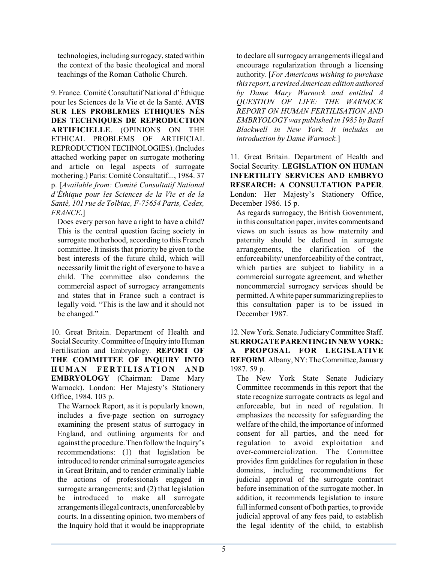technologies, including surrogacy, stated within the context of the basic theological and moral teachings of the Roman Catholic Church.

9. France. Comité Consultatif National d'Éthique pour les Sciences de la Vie et de la Santé. **AVIS SUR LES PROBLEMES ETHIQUES NÉS DES TECHNIQUES DE REPRODUCTION ARTIFICIELLE**. (OPINIONS ON THE ETHICAL PROBLEMS OF ARTIFICIAL REPRODUCTIONTECHNOLOGIES).(Includes attached working paper on surrogate mothering and article on legal aspects of surrogate mothering.) Paris: Comité Consultatif..., 1984. 37 p. [*Available from: Comité Consultatif National d'Éthique pour les Sciences de la Vie et de la Santé, 101 rue de Tolbiac, F-75654 Paris, Cedex, FRANCE*.]

Does every person have a right to have a child? This is the central question facing society in surrogate motherhood, according to this French committee. It insists that priority be given to the best interests of the future child, which will necessarily limit the right of everyone to have a child. The committee also condemns the commercial aspect of surrogacy arrangements and states that in France such a contract is legally void. "This is the law and it should not be changed."

10. Great Britain. Department of Health and Social Security. Committee of Inquiry into Human Fertilisation and Embryology. **REPORT OF THE COMMITTEE OF INQUIRY INTO**  $HUMAN$  **FERTILISATION** AND **EMBRYOLOGY** (Chairman: Dame Mary Warnock). London: Her Majesty's Stationery Office, 1984. 103 p.

The Warnock Report, as it is popularly known, includes a five-page section on surrogacy examining the present status of surrogacy in England, and outlining arguments for and against the procedure. Then follow the Inquiry's recommendations: (1) that legislation be introduced to render criminal surrogate agencies in Great Britain, and to render criminally liable the actions of professionals engaged in surrogate arrangements; and (2) that legislation be introduced to make all surrogate arrangementsillegal contracts, unenforceable by courts. In a dissenting opinion, two members of the Inquiry hold that it would be inappropriate

to declare allsurrogacy arrangementsillegal and encourage regularization through a licensing authority. [*For Americans wishing to purchase this report, a revised American edition authored by Dame Mary Warnock and entitled A QUESTION OF LIFE: THE WARNOCK REPORT ON HUMAN FERTILISATION AND EMBRYOLOGY was published in 1985 by Basil Blackwell in New York. It includes an introduction by Dame Warnock.*]

11. Great Britain. Department of Health and Social Security. **LEGISLATION ON HUMAN INFERTILITY SERVICES AND EMBRYO RESEARCH: A CONSULTATION PAPER**. London: Her Majesty's Stationery Office, December 1986. 15 p.

As regards surrogacy, the British Government, in this consultation paper, invites comments and views on such issues as how maternity and paternity should be defined in surrogate arrangements, the clarification of the enforceability/ unenforceability of the contract, which parties are subject to liability in a commercial surrogate agreement, and whether noncommercial surrogacy services should be permitted. A white paper summarizing replies to this consultation paper is to be issued in December 1987.

12. New York. Senate. JudiciaryCommittee Staff. **SURROGATE PARENTING INNEWYORK: A PROPOSAL FOR LEGISLATIVE REFORM**. Albany, NY:The Committee,January 1987. 59 p.

The New York State Senate Judiciary Committee recommends in this report that the state recognize surrogate contracts as legal and enforceable, but in need of regulation. It emphasizes the necessity for safeguarding the welfare of the child, the importance of informed consent for all parties, and the need for regulation to avoid exploitation and over-commercialization. The Committee provides firm guidelines for regulation in these domains, including recommendations for judicial approval of the surrogate contract before insemination of the surrogate mother. In addition, it recommends legislation to insure full informed consent of both parties, to provide judicial approval of any fees paid, to establish the legal identity of the child, to establish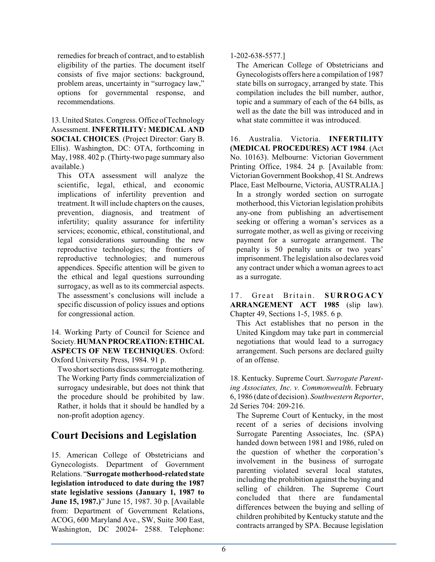remedies for breach of contract, and to establish eligibility of the parties. The document itself consists of five major sections: background, problem areas, uncertainty in "surrogacy law," options for governmental response, and recommendations.

13. United States. Congress. Office of Technology Assessment. **INFERTILITY: MEDICAL AND SOCIAL CHOICES**. (Project Director: Gary B. Ellis). Washington, DC: OTA, forthcoming in May, 1988. 402 p. (Thirty-two page summary also available.)

This OTA assessment will analyze the scientific, legal, ethical, and economic implications of infertility prevention and treatment. It will include chapters on the causes, prevention, diagnosis, and treatment of infertility; quality assurance for infertility services; economic, ethical, constitutional, and legal considerations surrounding the new reproductive technologies; the frontiers of reproductive technologies; and numerous appendices. Specific attention will be given to the ethical and legal questions surrounding surrogacy, as well as to its commercial aspects. The assessment's conclusions will include a specific discussion of policy issues and options for congressional action.

14. Working Party of Council for Science and Society.**HUMANPROCREATION:ETHICAL ASPECTS OF NEW TECHNIQUES**. Oxford: Oxford University Press, 1984. 91 p.

Two short sections discuss surrogate mothering. The Working Party finds commercialization of surrogacy undesirable, but does not think that the procedure should be prohibited by law. Rather, it holds that it should be handled by a non-profit adoption agency.

## **Court Decisions and Legislation**

15. American College of Obstetricians and Gynecologists. Department of Government Relations. "**Surrogate motherhood-relatedstate legislation introduced to date during the 1987 state legislative sessions (January 1, 1987 to June 15, 1987.)**" June 15, 1987. 30 p. [Available from: Department of Government Relations, ACOG, 600 Maryland Ave., SW, Suite 300 East, Washington, DC 20024- 2588. Telephone:

#### 1-202-638-5577.]

The American College of Obstetricians and Gynecologists offers here a compilation of 1987 state bills on surrogacy, arranged by state. This compilation includes the bill number, author, topic and a summary of each of the 64 bills, as well as the date the bill was introduced and in what state committee it was introduced.

16. Australia. Victoria. **INFERTILITY (MEDICAL PROCEDURES) ACT 1984**. (Act No. 10163). Melbourne: Victorian Government Printing Office, 1984. 24 p. [Available from: Victorian Government Bookshop, 41 St. Andrews Place, East Melbourne, Victoria, AUSTRALIA.] In a strongly worded section on surrogate motherhood, this Victorian legislation prohibits any-one from publishing an advertisement seeking or offering a woman's services as a surrogate mother, as well as giving or receiving payment for a surrogate arrangement. The penalty is 50 penalty units or two years' imprisonment. The legislation also declares void any contract under which a woman agrees to act as a surrogate.

17. Great Britain. SURROGACY **ARRANGEMENT ACT 1985** (slip law). Chapter 49, Sections 1-5, 1985. 6 p.

This Act establishes that no person in the United Kingdom may take part in commercial negotiations that would lead to a surrogacy arrangement. Such persons are declared guilty of an offense.

18. Kentucky. Supreme Court. *Surrogate Parenting Associates, Inc. v. Commonwealth*. February 6, 1986 (date of decision). *Southwestern Reporter*, 2d Series 704: 209-216.

The Supreme Court of Kentucky, in the most recent of a series of decisions involving Surrogate Parenting Associates, Inc. (SPA) handed down between 1981 and 1986, ruled on the question of whether the corporation's involvement in the business of surrogate parenting violated several local statutes, including the prohibition against the buying and selling of children. The Supreme Court concluded that there are fundamental differences between the buying and selling of children prohibited by Kentucky statute and the contracts arranged by SPA. Because legislation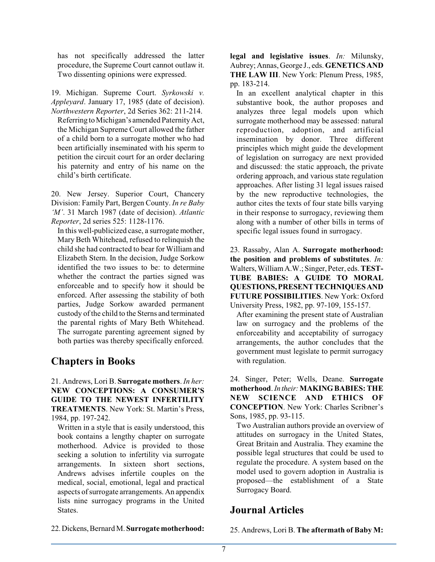has not specifically addressed the latter procedure, the Supreme Court cannot outlaw it. Two dissenting opinions were expressed.

19. Michigan. Supreme Court. *Syrkowski v. Appleyard*. January 17, 1985 (date of decision). *Northwestern Reporter*, 2d Series 362: 211-214. Referring to Michigan's amended Paternity Act, the Michigan Supreme Court allowed the father of a child born to a surrogate mother who had been artificially inseminated with his sperm to petition the circuit court for an order declaring his paternity and entry of his name on the child's birth certificate.

20. New Jersey. Superior Court, Chancery Division: Family Part, Bergen County. *In re Baby 'M'*. 31 March 1987 (date of decision). *Atlantic Reporter*, 2d series 525: 1128-1176.

In this well-publicized case, a surrogate mother, Mary Beth Whitehead, refused to relinquish the child she had contracted to bear for Williamand Elizabeth Stern. In the decision, Judge Sorkow identified the two issues to be: to determine whether the contract the parties signed was enforceable and to specify how it should be enforced. After assessing the stability of both parties, Judge Sorkow awarded permanent custody of the child to the Sterns and terminated the parental rights of Mary Beth Whitehead. The surrogate parenting agreement signed by both parties was thereby specifically enforced.

### **Chapters in Books**

21. Andrews, Lori B. **Surrogate mothers**. *In her:* **NEW CONCEPTIONS: A CONSUMER'S GUIDE TO THE NEWEST INFERTILITY TREATMENTS**. New York: St. Martin's Press, 1984, pp. 197-242.

Written in a style that is easily understood, this book contains a lengthy chapter on surrogate motherhood. Advice is provided to those seeking a solution to infertility via surrogate arrangements. In sixteen short sections, Andrews advises infertile couples on the medical, social, emotional, legal and practical aspects of surrogate arrangements. An appendix lists nine surrogacy programs in the United States.

**legal and legislative issues**. *In:* Milunsky, Aubrey; Annas, George J., eds. **GENETICS AND THE LAW III**. New York: Plenum Press, 1985, pp. 183-214.

In an excellent analytical chapter in this substantive book, the author proposes and analyzes three legal models upon which surrogate motherhood may be assessed: natural reproduction, adoption, and artificial insemination by donor. Three different principles which might guide the development of legislation on surrogacy are next provided and discussed: the static approach, the private ordering approach, and various state regulation approaches. After listing 31 legal issues raised by the new reproductive technologies, the author cites the texts of four state bills varying in their response to surrogacy, reviewing them along with a number of other bills in terms of specific legal issues found in surrogacy.

23. Rassaby, Alan A. **Surrogate motherhood: the position and problems of substitutes**. *In:* Walters, WilliamA.W.; Singer, Peter, eds. **TEST-TUBE BABIES: A GUIDE TO MORAL QUESTIONS,PRESENTTECHNIQUESAND FUTURE POSSIBILITIES**. New York: Oxford University Press, 1982, pp. 97-109, 155-157.

After examining the present state of Australian law on surrogacy and the problems of the enforceability and acceptability of surrogacy arrangements, the author concludes that the government must legislate to permit surrogacy with regulation.

24. Singer, Peter; Wells, Deane. **Surrogate motherhood**. *In their:***MAKING BABIES:THE NEW SCIENCE AND ETHICS OF CONCEPTION**. New York: Charles Scribner's Sons, 1985, pp. 93-115.

Two Australian authors provide an overview of attitudes on surrogacy in the United States, Great Britain and Australia. They examine the possible legal structures that could be used to regulate the procedure. A system based on the model used to govern adoption in Australia is proposed—the establishment of a State Surrogacy Board.

### **Journal Articles**

22.Dickens,Bernard M. **Surrogate motherhood:**

25. Andrews, Lori B. **The aftermath of Baby M:**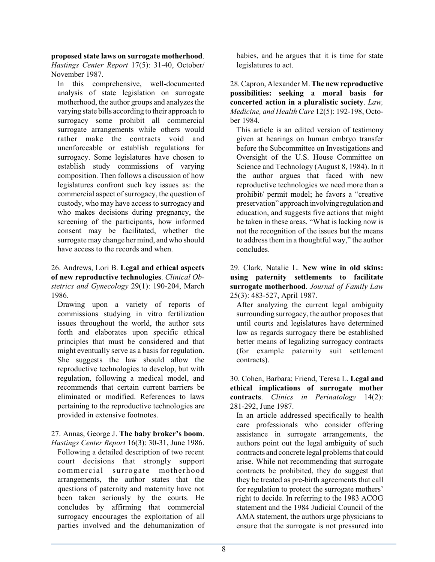**proposed state laws on surrogate motherhood**.

*Hastings Center Report* 17(5): 31-40, October/ November 1987.

In this comprehensive, well-documented analysis of state legislation on surrogate motherhood, the author groups and analyzes the varying state bills according to their approach to surrogacy some prohibit all commercial surrogate arrangements while others would rather make the contracts void and unenforceable or establish regulations for surrogacy. Some legislatures have chosen to establish study commissions of varying composition. Then follows a discussion of how legislatures confront such key issues as: the commercial aspect of surrogacy, the question of custody, who may have access to surrogacy and who makes decisions during pregnancy, the screening of the participants, how informed consent may be facilitated, whether the surrogate may change her mind, and who should have access to the records and when.

#### 26. Andrews, Lori B. **Legal and ethical aspects of new reproductive technologies**. *Clinical Obstetrics and Gynecology* 29(1): 190-204, March 1986.

Drawing upon a variety of reports of commissions studying in vitro fertilization issues throughout the world, the author sets forth and elaborates upon specific ethical principles that must be considered and that might eventually serve as a basis for regulation. She suggests the law should allow the reproductive technologies to develop, but with regulation, following a medical model, and recommends that certain current barriers be eliminated or modified. References to laws pertaining to the reproductive technologies are provided in extensive footnotes.

#### 27. Annas, George J. **The baby broker's boom**.

*Hastings Center Report* 16(3): 30-31, June 1986. Following a detailed description of two recent court decisions that strongly support commercial surrogate motherhood arrangements, the author states that the questions of paternity and maternity have not been taken seriously by the courts. He concludes by affirming that commercial surrogacy encourages the exploitation of all parties involved and the dehumanization of

babies, and he argues that it is time for state legislatures to act.

28. Capron, Alexander M. **The new reproductive possibilities: seeking a moral basis for concerted action in a pluralistic society**. *Law, Medicine, and Health Care* 12(5): 192-198, October 1984.

This article is an edited version of testimony given at hearings on human embryo transfer before the Subcommittee on Investigations and Oversight of the U.S. House Committee on Science and Technology (August 8, 1984). In it the author argues that faced with new reproductive technologies we need more than a prohibit/ permit model; he favors a "creative preservation" approach involvingregulation and education, and suggests five actions that might be taken in these areas. "What is lacking now is not the recognition of the issues but the means to address them in a thoughtful way," the author concludes.

#### 29. Clark, Natalie L. **New wine in old skins: using paternity settlements to facilitate surrogate motherhood**. *Journal of Family Law* 25(3): 483-527, April 1987.

After analyzing the current legal ambiguity surrounding surrogacy, the author proposes that until courts and legislatures have determined law as regards surrogacy there be established better means of legalizing surrogacy contracts (for example paternity suit settlement contracts).

30. Cohen, Barbara; Friend, Teresa L. **Legal and ethical implications of surrogate mother contracts**. *Clinics in Perinatology* 14(2): 281-292, June 1987.

In an article addressed specifically to health care professionals who consider offering assistance in surrogate arrangements, the authors point out the legal ambiguity of such contracts and concrete legal problems that could arise. While not recommending that surrogate contracts be prohibited, they do suggest that they be treated as pre-birth agreements that call for regulation to protect the surrogate mothers' right to decide. In referring to the 1983 ACOG statement and the 1984 Judicial Council of the AMA statement, the authors urge physicians to ensure that the surrogate is not pressured into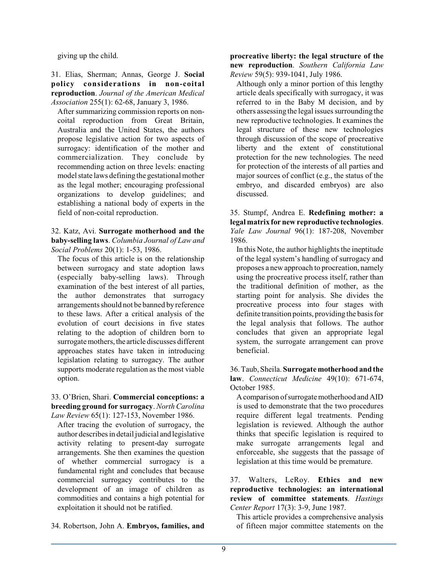giving up the child.

31. Elias, Sherman; Annas, George J. **Social policy considerations in non-coital reproduction**. *Journal of the American Medical Association* 255(1): 62-68, January 3, 1986.

After summarizing commission reports on noncoital reproduction from Great Britain, Australia and the United States, the authors propose legislative action for two aspects of surrogacy: identification of the mother and commercialization. They conclude by recommending action on three levels: enacting model state laws defining the gestational mother as the legal mother; encouraging professional organizations to develop guidelines; and establishing a national body of experts in the field of non-coital reproduction.

32. Katz, Avi. **Surrogate motherhood and the baby-selling laws**. *Columbia Journal of Law and Social Problems* 20(1): 1-53, 1986.

The focus of this article is on the relationship between surrogacy and state adoption laws (especially baby-selling laws). Through examination of the best interest of all parties, the author demonstrates that surrogacy arrangements should not be banned by reference to these laws. After a critical analysis of the evolution of court decisions in five states relating to the adoption of children born to surrogate mothers, the article discusses different approaches states have taken in introducing legislation relating to surrogacy. The author supports moderate regulation as the most viable option.

#### 33. O'Brien, Shari. **Commercial conceptions: a breeding ground for surrogacy**. *North Carolina Law Review* 65(1): 127-153, November 1986.

After tracing the evolution of surrogacy, the author describes in detail judicial and legislative activity relating to present-day surrogate arrangements. She then examines the question of whether commercial surrogacy is a fundamental right and concludes that because commercial surrogacy contributes to the development of an image of children as commodities and contains a high potential for exploitation it should not be ratified.

34. Robertson, John A. **Embryos, families, and**

**procreative liberty: the legal structure of the new reproduction**. *Southern California Law Review* 59(5): 939-1041, July 1986.

Although only a minor portion of this lengthy article deals specifically with surrogacy, it was referred to in the Baby M decision, and by others assessing the legal issues surrounding the new reproductive technologies. It examines the legal structure of these new technologies through discussion of the scope of procreative liberty and the extent of constitutional protection for the new technologies. The need for protection of the interests of all parties and major sources of conflict (e.g., the status of the embryo, and discarded embryos) are also discussed.

35. Stumpf, Andrea E. **Redefining mother: a legal matrix for new reproductive technologies**. *Yale Law Journal* 96(1): 187-208, November 1986.

In this Note, the author highlights the ineptitude of the legal system's handling of surrogacy and proposes a new approach to procreation, namely using the procreative process itself, rather than the traditional definition of mother, as the starting point for analysis. She divides the procreative process into four stages with definite transition points, providing the basis for the legal analysis that follows. The author concludes that given an appropriate legal system, the surrogate arrangement can prove beneficial.

36. Taub, Sheila. **Surrogate motherhood and the law**. *Connecticut Medicine* 49(10): 671-674, October 1985.

Acomparison ofsurrogate motherhood and AID is used to demonstrate that the two procedures require different legal treatments. Pending legislation is reviewed. Although the author thinks that specific legislation is required to make surrogate arrangements legal and enforceable, she suggests that the passage of legislation at this time would be premature.

37. Walters, LeRoy. **Ethics and new reproductive technologies: an international review of committee statements**. *Hastings Center Report* 17(3): 3-9, June 1987.

This article provides a comprehensive analysis of fifteen major committee statements on the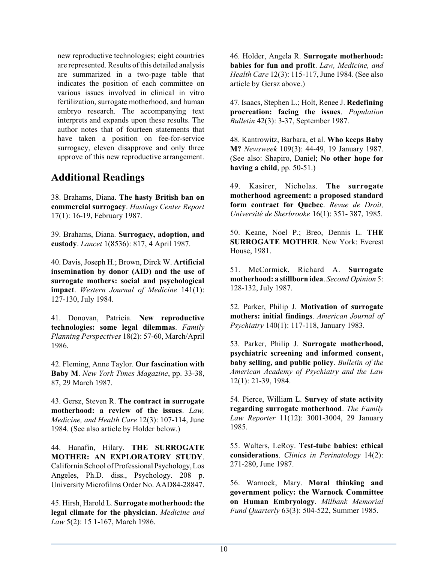new reproductive technologies; eight countries are represented. Results of this detailed analysis are summarized in a two-page table that indicates the position of each committee on various issues involved in clinical in vitro fertilization, surrogate motherhood, and human embryo research. The accompanying text interprets and expands upon these results. The author notes that of fourteen statements that have taken a position on fee-for-service surrogacy, eleven disapprove and only three approve of this new reproductive arrangement.

### **Additional Readings**

38. Brahams, Diana. **The hasty British ban on commercial surrogacy**. *Hastings Center Report* 17(1): 16-19, February 1987.

39. Brahams, Diana. **Surrogacy, adoption, and custody**. *Lancet* 1(8536): 817, 4 April 1987.

40. Davis, Joseph H.; Brown, Dirck W. **Artificial insemination by donor (AID) and the use of surrogate mothers: social and psychological impact**. *Western Journal of Medicine* 141(1): 127-130, July 1984.

41. Donovan, Patricia. **New reproductive technologies: some legal dilemmas**. *Family Planning Perspectives* 18(2): 57-60, March/April 1986.

42. Fleming, Anne Taylor. **Our fascination with Baby M**. *New York Times Magazine*, pp. 33-38, 87, 29 March 1987.

43. Gersz, Steven R. **The contract in surrogate motherhood: a review of the issues**. *Law, Medicine, and Health Care* 12(3): 107-114, June 1984. (See also article by Holder below.)

44. Hanafin, Hilary. **THE SURROGATE MOTHER: AN EXPLORATORY STUDY**. California School of Professional Psychology, Los Angeles, Ph.D. diss., Psychology. 208 p. University Microfilms Order No. AAD84-28847.

45. Hirsh, Harold L. **Surrogate motherhood: the legal climate for the physician**. *Medicine and Law* 5(2): 15 1-167, March 1986.

46. Holder, Angela R. **Surrogate motherhood: babies for fun and profit**. *Law, Medicine, and Health Care* 12(3): 115-117, June 1984. (See also article by Gersz above.)

47. Isaacs, Stephen L.; Holt, Renee J. **Redefining procreation: facing the issues**. *Population Bulletin* 42(3): 3-37, September 1987.

48. Kantrowitz, Barbara, et al. **Who keeps Baby M?** *Newsweek* 109(3): 44-49, 19 January 1987. (See also: Shapiro, Daniel; **No other hope for having a child**, pp. 50-51.)

49. Kasirer, Nicholas. **The surrogate motherhood agreement: a proposed standard form contract for Quebec**. *Revue de Droit, Université de Sherbrooke* 16(1): 351- 387, 1985.

50. Keane, Noel P.; Breo, Dennis L. **THE SURROGATE MOTHER**. New York: Everest House, 1981.

51. McCormick, Richard A. **Surrogate motherhood: a stillborn idea**. *Second Opinion* 5: 128-132, July 1987.

52. Parker, Philip J. **Motivation of surrogate mothers: initial findings**. *American Journal of Psychiatry* 140(1): 117-118, January 1983.

53. Parker, Philip J. **Surrogate motherhood, psychiatric screening and informed consent, baby selling, and public policy**. *Bulletin of the American Academy of Psychiatry and the Law* 12(1): 21-39, 1984.

54. Pierce, William L. **Survey of state activity regarding surrogate motherhood**. *The Family Law Reporter* 11(12): 3001-3004, 29 January 1985.

55. Walters, LeRoy. **Test-tube babies: ethical considerations**. *Clinics in Perinatology* 14(2): 271-280, June 1987.

56. Warnock, Mary. **Moral thinking and government policy: the Warnock Committee on Human Embryology**. *Milbank Memorial Fund Quarterly* 63(3): 504-522, Summer 1985.